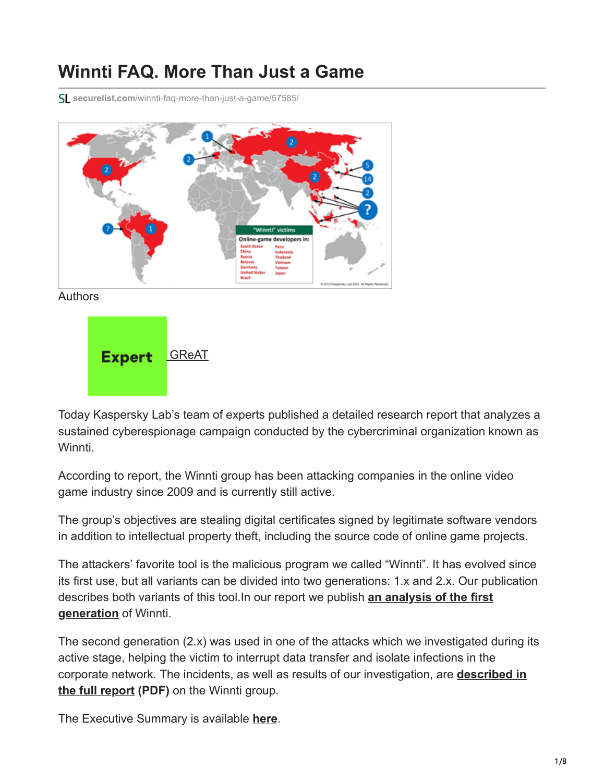# **Winnti FAQ. More Than Just a Game**

**securelist.com**[/winnti-faq-more-than-just-a-game/57585/](https://securelist.com/winnti-faq-more-than-just-a-game/57585/)





Today Kaspersky Lab's team of experts published a detailed research report that analyzes a sustained cyberespionage campaign conducted by the cybercriminal organization known as Winnti.

According to report, the Winnti group has been attacking companies in the online video game industry since 2009 and is currently still active.

The group's objectives are stealing digital certificates signed by legitimate software vendors in addition to intellectual property theft, including the source code of online game projects.

The attackers' favorite tool is the malicious program we called "Winnti". It has evolved since its first use, but all variants can be divided into two generations: 1.x and 2.x. Our publication [describes both variants of this tool.In our report we publish](https://securelist.com/winnti-1-0-technical-analysis/37002/) **an analysis of the first generation** of Winnti.

The second generation (2.x) was used in one of the attacks which we investigated during its active stage, helping the victim to interrupt data transfer and isolate infections in the [corporate network. The incidents, as well as results of our investigation, are](https://media.kasperskycontenthub.com/wp-content/uploads/sites/43/2019/10/02153102/winnti-more-than-just-a-game-130410.pdf) **described in the full report (PDF)** on the Winnti group.

The Executive Summary is available **[here](https://securelist.com/winnti-more-than-just-a-game/37029/)**.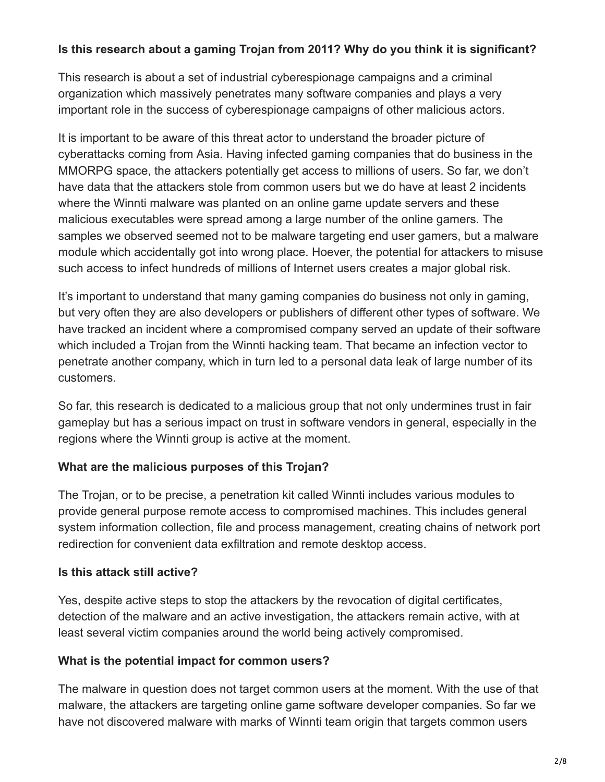#### **Is this research about a gaming Trojan from 2011? Why do you think it is significant?**

This research is about a set of industrial cyberespionage campaigns and a criminal organization which massively penetrates many software companies and plays a very important role in the success of cyberespionage campaigns of other malicious actors.

It is important to be aware of this threat actor to understand the broader picture of cyberattacks coming from Asia. Having infected gaming companies that do business in the MMORPG space, the attackers potentially get access to millions of users. So far, we don't have data that the attackers stole from common users but we do have at least 2 incidents where the Winnti malware was planted on an online game update servers and these malicious executables were spread among a large number of the online gamers. The samples we observed seemed not to be malware targeting end user gamers, but a malware module which accidentally got into wrong place. Hoever, the potential for attackers to misuse such access to infect hundreds of millions of Internet users creates a major global risk.

It's important to understand that many gaming companies do business not only in gaming, but very often they are also developers or publishers of different other types of software. We have tracked an incident where a compromised company served an update of their software which included a Trojan from the Winnti hacking team. That became an infection vector to penetrate another company, which in turn led to a personal data leak of large number of its customers.

So far, this research is dedicated to a malicious group that not only undermines trust in fair gameplay but has a serious impact on trust in software vendors in general, especially in the regions where the Winnti group is active at the moment.

## **What are the malicious purposes of this Trojan?**

The Trojan, or to be precise, a penetration kit called Winnti includes various modules to provide general purpose remote access to compromised machines. This includes general system information collection, file and process management, creating chains of network port redirection for convenient data exfiltration and remote desktop access.

## **Is this attack still active?**

Yes, despite active steps to stop the attackers by the revocation of digital certificates, detection of the malware and an active investigation, the attackers remain active, with at least several victim companies around the world being actively compromised.

#### **What is the potential impact for common users?**

The malware in question does not target common users at the moment. With the use of that malware, the attackers are targeting online game software developer companies. So far we have not discovered malware with marks of Winnti team origin that targets common users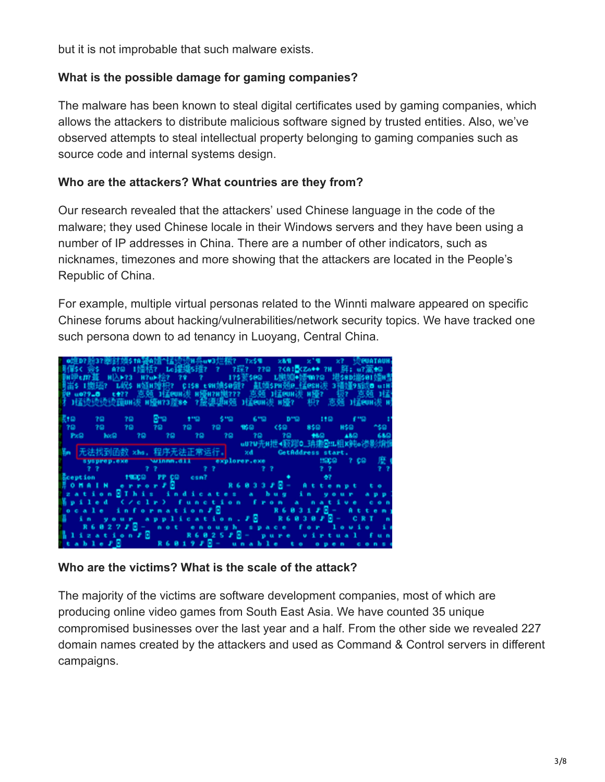but it is not improbable that such malware exists.

## **What is the possible damage for gaming companies?**

The malware has been known to steal digital certificates used by gaming companies, which allows the attackers to distribute malicious software signed by trusted entities. Also, we've observed attempts to steal intellectual property belonging to gaming companies such as source code and internal systems design.

#### **Who are the attackers? What countries are they from?**

Our research revealed that the attackers' used Chinese language in the code of the malware; they used Chinese locale in their Windows servers and they have been using a number of IP addresses in China. There are a number of other indicators, such as nicknames, timezones and more showing that the attackers are located in the People's Republic of China.

For example, multiple virtual personas related to the Winnti malware appeared on specific Chinese forums about hacking/vulnerabilities/network security topics. We have tracked one such persona down to ad tenancy in Luoyang, Central China.



#### **Who are the victims? What is the scale of the attack?**

The majority of the victims are software development companies, most of which are producing online video games from South East Asia. We have counted 35 unique compromised businesses over the last year and a half. From the other side we revealed 227 domain names created by the attackers and used as Command & Control servers in different campaigns.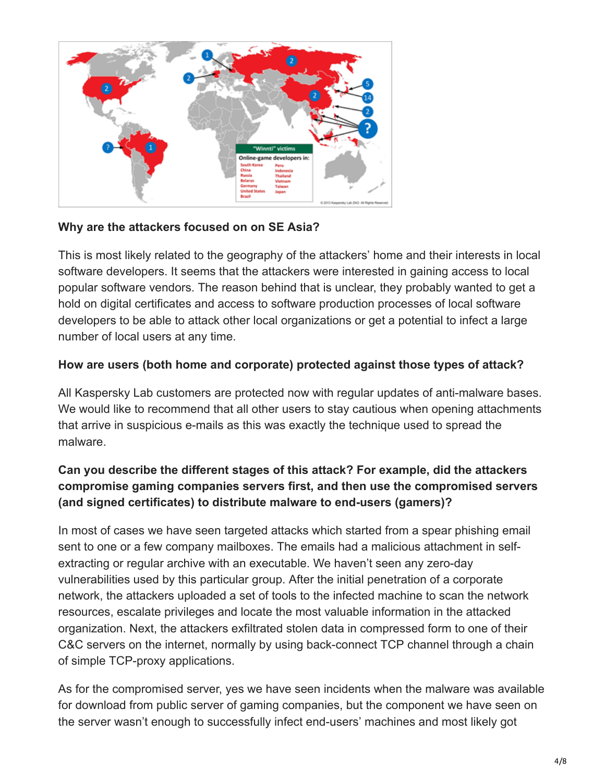

## **Why are the attackers focused on on SE Asia?**

This is most likely related to the geography of the attackers' home and their interests in local software developers. It seems that the attackers were interested in gaining access to local popular software vendors. The reason behind that is unclear, they probably wanted to get a hold on digital certificates and access to software production processes of local software developers to be able to attack other local organizations or get a potential to infect a large number of local users at any time.

# **How are users (both home and corporate) protected against those types of attack?**

All Kaspersky Lab customers are protected now with regular updates of anti-malware bases. We would like to recommend that all other users to stay cautious when opening attachments that arrive in suspicious e-mails as this was exactly the technique used to spread the malware.

# **Can you describe the different stages of this attack? For example, did the attackers compromise gaming companies servers first, and then use the compromised servers (and signed certificates) to distribute malware to end-users (gamers)?**

In most of cases we have seen targeted attacks which started from a spear phishing email sent to one or a few company mailboxes. The emails had a malicious attachment in selfextracting or regular archive with an executable. We haven't seen any zero-day vulnerabilities used by this particular group. After the initial penetration of a corporate network, the attackers uploaded a set of tools to the infected machine to scan the network resources, escalate privileges and locate the most valuable information in the attacked organization. Next, the attackers exfiltrated stolen data in compressed form to one of their C&C servers on the internet, normally by using back-connect TCP channel through a chain of simple TCP-proxy applications.

As for the compromised server, yes we have seen incidents when the malware was available for download from public server of gaming companies, but the component we have seen on the server wasn't enough to successfully infect end-users' machines and most likely got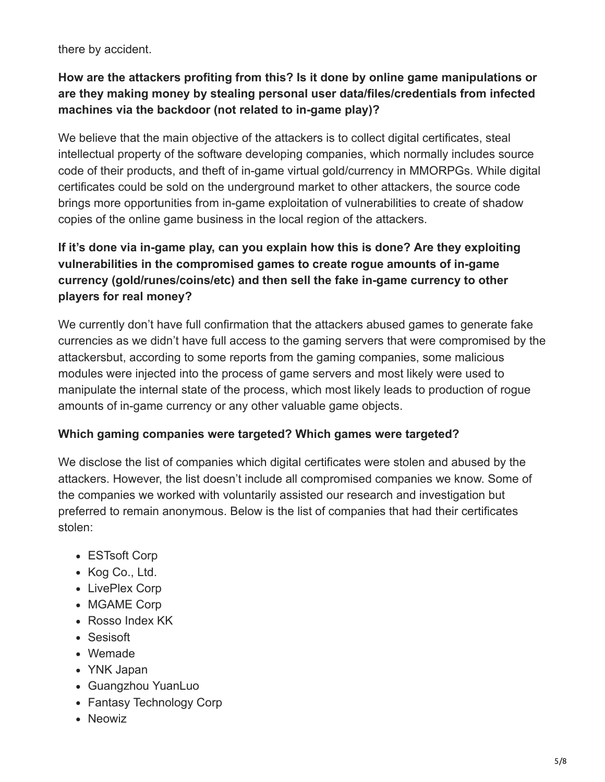there by accident.

# **How are the attackers profiting from this? Is it done by online game manipulations or are they making money by stealing personal user data/files/credentials from infected machines via the backdoor (not related to in-game play)?**

We believe that the main objective of the attackers is to collect digital certificates, steal intellectual property of the software developing companies, which normally includes source code of their products, and theft of in-game virtual gold/currency in MMORPGs. While digital certificates could be sold on the underground market to other attackers, the source code brings more opportunities from in-game exploitation of vulnerabilities to create of shadow copies of the online game business in the local region of the attackers.

# **If it's done via in-game play, can you explain how this is done? Are they exploiting vulnerabilities in the compromised games to create rogue amounts of in-game currency (gold/runes/coins/etc) and then sell the fake in-game currency to other players for real money?**

We currently don't have full confirmation that the attackers abused games to generate fake currencies as we didn't have full access to the gaming servers that were compromised by the attackersbut, according to some reports from the gaming companies, some malicious modules were injected into the process of game servers and most likely were used to manipulate the internal state of the process, which most likely leads to production of rogue amounts of in-game currency or any other valuable game objects.

## **Which gaming companies were targeted? Which games were targeted?**

We disclose the list of companies which digital certificates were stolen and abused by the attackers. However, the list doesn't include all compromised companies we know. Some of the companies we worked with voluntarily assisted our research and investigation but preferred to remain anonymous. Below is the list of companies that had their certificates stolen:

- ESTsoft Corp
- Kog Co., Ltd.
- LivePlex Corp
- MGAME Corp
- Rosso Index KK
- Sesisoft
- Wemade
- YNK Japan
- Guangzhou YuanLuo
- Fantasy Technology Corp
- Neowiz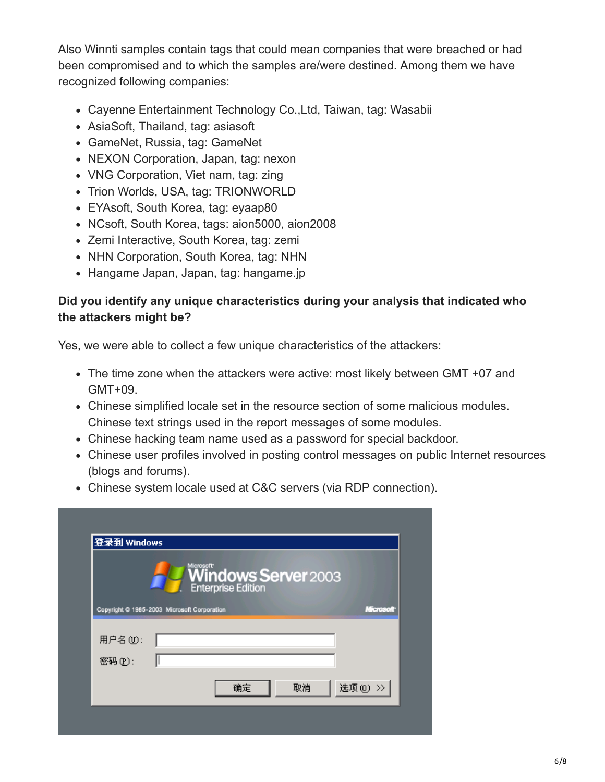Also Winnti samples contain tags that could mean companies that were breached or had been compromised and to which the samples are/were destined. Among them we have recognized following companies:

- Cayenne Entertainment Technology Co.,Ltd, Taiwan, tag: Wasabii
- AsiaSoft, Thailand, tag: asiasoft
- GameNet, Russia, tag: GameNet
- NEXON Corporation, Japan, tag: nexon
- VNG Corporation, Viet nam, tag: zing
- Trion Worlds, USA, tag: TRIONWORLD
- EYAsoft, South Korea, tag: eyaap80
- NCsoft, South Korea, tags: aion5000, aion2008
- Zemi Interactive, South Korea, tag: zemi
- NHN Corporation, South Korea, tag: NHN
- Hangame Japan, Japan, tag: hangame.jp

## **Did you identify any unique characteristics during your analysis that indicated who the attackers might be?**

Yes, we were able to collect a few unique characteristics of the attackers:

- The time zone when the attackers were active: most likely between GMT +07 and GMT+09.
- Chinese simplified locale set in the resource section of some malicious modules. Chinese text strings used in the report messages of some modules.
- Chinese hacking team name used as a password for special backdoor.
- Chinese user profiles involved in posting control messages on public Internet resources (blogs and forums).
- Chinese system locale used at C&C servers (via RDP connection).

| Windows Server 2003<br>Enterprise Edition |                                                          |
|-------------------------------------------|----------------------------------------------------------|
|                                           | Copyright @ 1985-2003 Microsoft Corporation<br>Microsoft |
| 用户名(U):<br>密码(P):                         |                                                          |
|                                           | 选项(0) >><br>确定<br>取消                                     |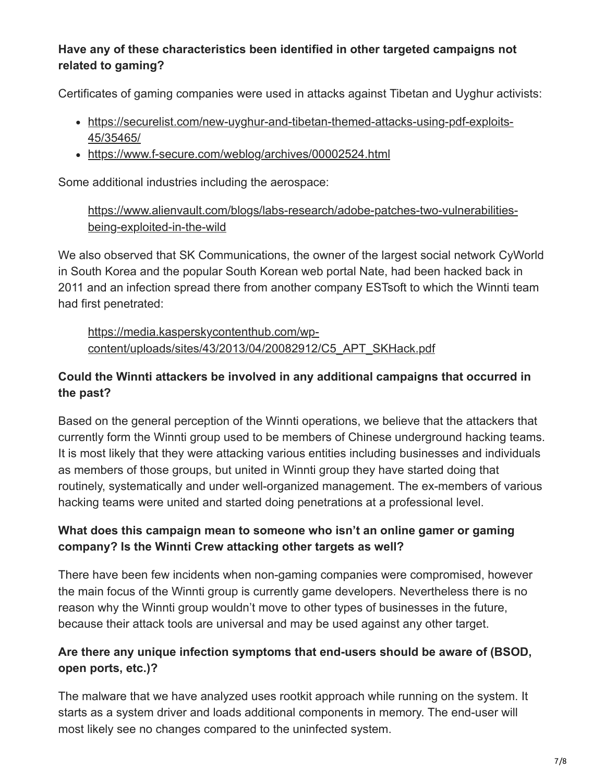# **Have any of these characteristics been identified in other targeted campaigns not related to gaming?**

Certificates of gaming companies were used in attacks against Tibetan and Uyghur activists:

- [https://securelist.com/new-uyghur-and-tibetan-themed-attacks-using-pdf-exploits-](https://securelist.com/new-uyghur-and-tibetan-themed-attacks-using-pdf-exploits-45/35465/)45/35465/
- <https://www.f-secure.com/weblog/archives/00002524.html>

Some additional industries including the aerospace:

[https://www.alienvault.com/blogs/labs-research/adobe-patches-two-vulnerabilities](https://www.alienvault.com/blogs/labs-research/adobe-patches-two-vulnerabilities-being-exploited-in-the-wild)being-exploited-in-the-wild

We also observed that SK Communications, the owner of the largest social network CyWorld in South Korea and the popular South Korean web portal Nate, had been hacked back in 2011 and an infection spread there from another company ESTsoft to which the Winnti team had first penetrated:

https://media.kasperskycontenthub.com/wp[content/uploads/sites/43/2013/04/20082912/C5\\_APT\\_SKHack.pdf](https://media.kasperskycontenthub.com/wp-content/uploads/sites/43/2013/04/20082912/C5_APT_SKHack.pdf)

# **Could the Winnti attackers be involved in any additional campaigns that occurred in the past?**

Based on the general perception of the Winnti operations, we believe that the attackers that currently form the Winnti group used to be members of Chinese underground hacking teams. It is most likely that they were attacking various entities including businesses and individuals as members of those groups, but united in Winnti group they have started doing that routinely, systematically and under well-organized management. The ex-members of various hacking teams were united and started doing penetrations at a professional level.

# **What does this campaign mean to someone who isn't an online gamer or gaming company? Is the Winnti Crew attacking other targets as well?**

There have been few incidents when non-gaming companies were compromised, however the main focus of the Winnti group is currently game developers. Nevertheless there is no reason why the Winnti group wouldn't move to other types of businesses in the future, because their attack tools are universal and may be used against any other target.

# **Are there any unique infection symptoms that end-users should be aware of (BSOD, open ports, etc.)?**

The malware that we have analyzed uses rootkit approach while running on the system. It starts as a system driver and loads additional components in memory. The end-user will most likely see no changes compared to the uninfected system.